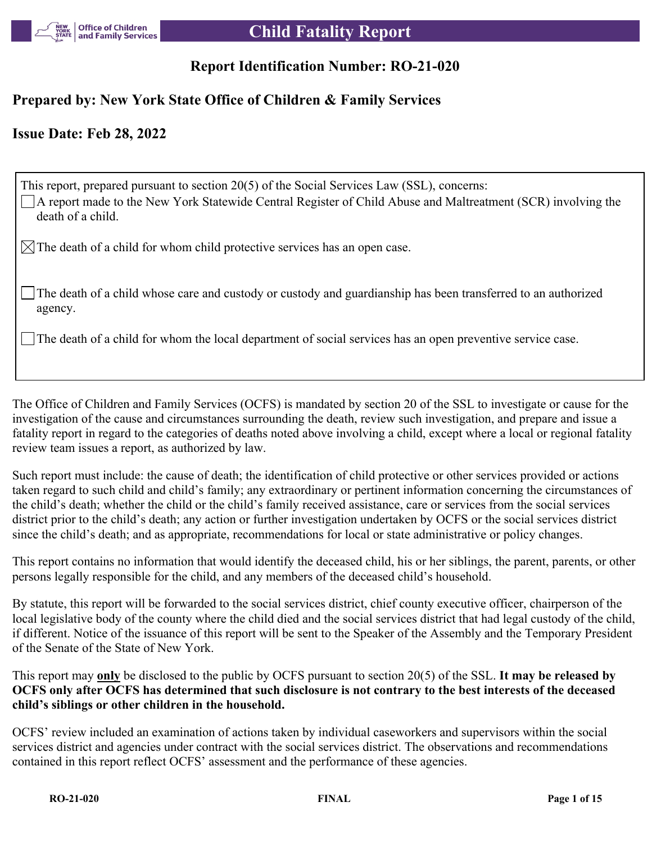

# **Report Identification Number: RO-21-020**

# **Prepared by: New York State Office of Children & Family Services**

# **Issue Date: Feb 28, 2022**

| This report, prepared pursuant to section 20(5) of the Social Services Law (SSL), concerns:<br>A report made to the New York Statewide Central Register of Child Abuse and Maltreatment (SCR) involving the<br>death of a child. |
|----------------------------------------------------------------------------------------------------------------------------------------------------------------------------------------------------------------------------------|
| $\boxtimes$ The death of a child for whom child protective services has an open case.                                                                                                                                            |
| The death of a child whose care and custody or custody and guardianship has been transferred to an authorized<br>agency.                                                                                                         |
| $\Box$ The death of a child for whom the local department of social services has an open preventive service case.                                                                                                                |

The Office of Children and Family Services (OCFS) is mandated by section 20 of the SSL to investigate or cause for the investigation of the cause and circumstances surrounding the death, review such investigation, and prepare and issue a fatality report in regard to the categories of deaths noted above involving a child, except where a local or regional fatality review team issues a report, as authorized by law.

Such report must include: the cause of death; the identification of child protective or other services provided or actions taken regard to such child and child's family; any extraordinary or pertinent information concerning the circumstances of the child's death; whether the child or the child's family received assistance, care or services from the social services district prior to the child's death; any action or further investigation undertaken by OCFS or the social services district since the child's death; and as appropriate, recommendations for local or state administrative or policy changes.

This report contains no information that would identify the deceased child, his or her siblings, the parent, parents, or other persons legally responsible for the child, and any members of the deceased child's household.

By statute, this report will be forwarded to the social services district, chief county executive officer, chairperson of the local legislative body of the county where the child died and the social services district that had legal custody of the child, if different. Notice of the issuance of this report will be sent to the Speaker of the Assembly and the Temporary President of the Senate of the State of New York.

This report may **only** be disclosed to the public by OCFS pursuant to section 20(5) of the SSL. **It may be released by OCFS only after OCFS has determined that such disclosure is not contrary to the best interests of the deceased child's siblings or other children in the household.**

OCFS' review included an examination of actions taken by individual caseworkers and supervisors within the social services district and agencies under contract with the social services district. The observations and recommendations contained in this report reflect OCFS' assessment and the performance of these agencies.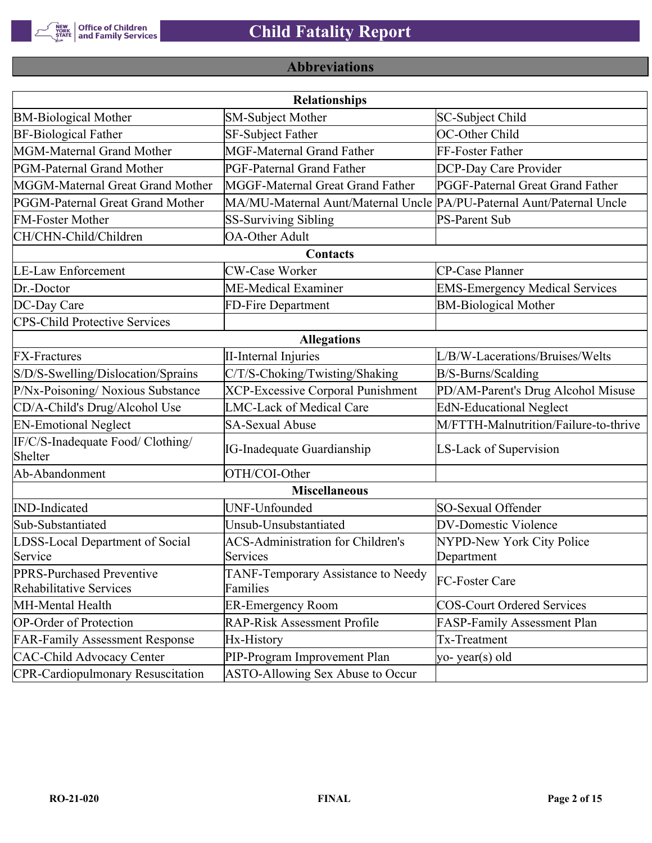

# **Abbreviations**

| <b>Relationships</b>                                 |                                                                       |                                       |  |  |  |
|------------------------------------------------------|-----------------------------------------------------------------------|---------------------------------------|--|--|--|
| <b>BM-Biological Mother</b>                          | SM-Subject Mother                                                     | SC-Subject Child                      |  |  |  |
| <b>BF-Biological Father</b>                          | SF-Subject Father                                                     | OC-Other Child                        |  |  |  |
| MGM-Maternal Grand Mother                            | <b>MGF-Maternal Grand Father</b>                                      | FF-Foster Father                      |  |  |  |
| PGM-Paternal Grand Mother                            | <b>PGF-Paternal Grand Father</b>                                      | DCP-Day Care Provider                 |  |  |  |
| MGGM-Maternal Great Grand Mother                     | MGGF-Maternal Great Grand Father                                      | PGGF-Paternal Great Grand Father      |  |  |  |
| PGGM-Paternal Great Grand Mother                     | MA/MU-Maternal Aunt/Maternal Uncle PA/PU-Paternal Aunt/Paternal Uncle |                                       |  |  |  |
| <b>FM-Foster Mother</b>                              | <b>SS-Surviving Sibling</b>                                           | <b>PS-Parent Sub</b>                  |  |  |  |
| CH/CHN-Child/Children                                | <b>OA-Other Adult</b>                                                 |                                       |  |  |  |
|                                                      | Contacts                                                              |                                       |  |  |  |
| <b>LE-Law Enforcement</b>                            | <b>CW-Case Worker</b>                                                 | CP-Case Planner                       |  |  |  |
| Dr.-Doctor                                           | ME-Medical Examiner                                                   | <b>EMS-Emergency Medical Services</b> |  |  |  |
| DC-Day Care                                          | FD-Fire Department                                                    | <b>BM-Biological Mother</b>           |  |  |  |
| <b>CPS-Child Protective Services</b>                 |                                                                       |                                       |  |  |  |
|                                                      | <b>Allegations</b>                                                    |                                       |  |  |  |
| <b>FX-Fractures</b>                                  | <b>II-Internal Injuries</b>                                           | L/B/W-Lacerations/Bruises/Welts       |  |  |  |
| S/D/S-Swelling/Dislocation/Sprains                   | C/T/S-Choking/Twisting/Shaking                                        | B/S-Burns/Scalding                    |  |  |  |
| P/Nx-Poisoning/ Noxious Substance                    | <b>XCP-Excessive Corporal Punishment</b>                              | PD/AM-Parent's Drug Alcohol Misuse    |  |  |  |
| CD/A-Child's Drug/Alcohol Use                        | <b>LMC-Lack of Medical Care</b>                                       | <b>EdN-Educational Neglect</b>        |  |  |  |
| <b>EN-Emotional Neglect</b>                          | <b>SA-Sexual Abuse</b>                                                | M/FTTH-Malnutrition/Failure-to-thrive |  |  |  |
| IF/C/S-Inadequate Food/ Clothing/<br>Shelter         | <b>IG-Inadequate Guardianship</b>                                     | LS-Lack of Supervision                |  |  |  |
| Ab-Abandonment                                       | OTH/COI-Other                                                         |                                       |  |  |  |
|                                                      | <b>Miscellaneous</b>                                                  |                                       |  |  |  |
| <b>IND-Indicated</b>                                 | UNF-Unfounded                                                         | SO-Sexual Offender                    |  |  |  |
| Sub-Substantiated                                    | Unsub-Unsubstantiated                                                 | <b>DV-Domestic Violence</b>           |  |  |  |
| LDSS-Local Department of Social                      | <b>ACS-Administration for Children's</b>                              | NYPD-New York City Police             |  |  |  |
| Service                                              | Services                                                              | Department                            |  |  |  |
| PPRS-Purchased Preventive<br>Rehabilitative Services | TANF-Temporary Assistance to Needy<br>Families                        | FC-Foster Care                        |  |  |  |
| MH-Mental Health                                     | <b>ER-Emergency Room</b>                                              | <b>COS-Court Ordered Services</b>     |  |  |  |
| <b>OP-Order of Protection</b>                        | <b>RAP-Risk Assessment Profile</b>                                    | FASP-Family Assessment Plan           |  |  |  |
| <b>FAR-Family Assessment Response</b>                | Hx-History                                                            | Tx-Treatment                          |  |  |  |
| <b>CAC-Child Advocacy Center</b>                     | PIP-Program Improvement Plan                                          | yo-year(s) old                        |  |  |  |
| <b>CPR-Cardiopulmonary Resuscitation</b>             | ASTO-Allowing Sex Abuse to Occur                                      |                                       |  |  |  |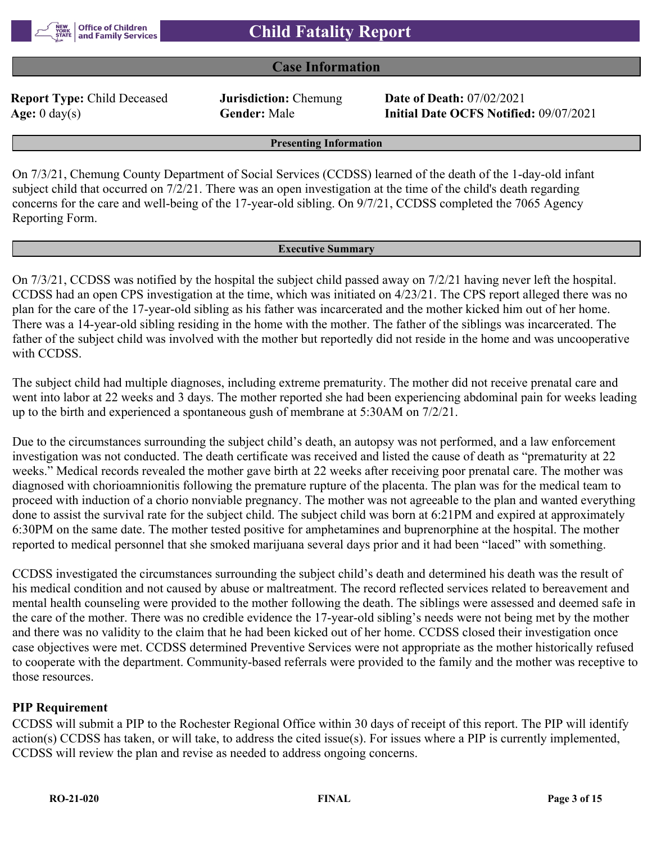

# **Case Information**

**Report Type:** Child Deceased **Jurisdiction:** Chemung **Date of Death:** 07/02/2021

**Age:** 0 day(s) **Gender:** Male **Initial Date OCFS Notified:** 09/07/2021

**Presenting Information**

On 7/3/21, Chemung County Department of Social Services (CCDSS) learned of the death of the 1-day-old infant subject child that occurred on 7/2/21. There was an open investigation at the time of the child's death regarding concerns for the care and well-being of the 17-year-old sibling. On 9/7/21, CCDSS completed the 7065 Agency Reporting Form.

#### **Executive Summary**

On 7/3/21, CCDSS was notified by the hospital the subject child passed away on 7/2/21 having never left the hospital. CCDSS had an open CPS investigation at the time, which was initiated on 4/23/21. The CPS report alleged there was no plan for the care of the 17-year-old sibling as his father was incarcerated and the mother kicked him out of her home. There was a 14-year-old sibling residing in the home with the mother. The father of the siblings was incarcerated. The father of the subject child was involved with the mother but reportedly did not reside in the home and was uncooperative with CCDSS.

The subject child had multiple diagnoses, including extreme prematurity. The mother did not receive prenatal care and went into labor at 22 weeks and 3 days. The mother reported she had been experiencing abdominal pain for weeks leading up to the birth and experienced a spontaneous gush of membrane at 5:30AM on 7/2/21.

Due to the circumstances surrounding the subject child's death, an autopsy was not performed, and a law enforcement investigation was not conducted. The death certificate was received and listed the cause of death as "prematurity at 22 weeks." Medical records revealed the mother gave birth at 22 weeks after receiving poor prenatal care. The mother was diagnosed with chorioamnionitis following the premature rupture of the placenta. The plan was for the medical team to proceed with induction of a chorio nonviable pregnancy. The mother was not agreeable to the plan and wanted everything done to assist the survival rate for the subject child. The subject child was born at 6:21PM and expired at approximately 6:30PM on the same date. The mother tested positive for amphetamines and buprenorphine at the hospital. The mother reported to medical personnel that she smoked marijuana several days prior and it had been "laced" with something.

CCDSS investigated the circumstances surrounding the subject child's death and determined his death was the result of his medical condition and not caused by abuse or maltreatment. The record reflected services related to bereavement and mental health counseling were provided to the mother following the death. The siblings were assessed and deemed safe in the care of the mother. There was no credible evidence the 17-year-old sibling's needs were not being met by the mother and there was no validity to the claim that he had been kicked out of her home. CCDSS closed their investigation once case objectives were met. CCDSS determined Preventive Services were not appropriate as the mother historically refused to cooperate with the department. Community-based referrals were provided to the family and the mother was receptive to those resources.

#### **PIP Requirement**

CCDSS will submit a PIP to the Rochester Regional Office within 30 days of receipt of this report. The PIP will identify action(s) CCDSS has taken, or will take, to address the cited issue(s). For issues where a PIP is currently implemented, CCDSS will review the plan and revise as needed to address ongoing concerns.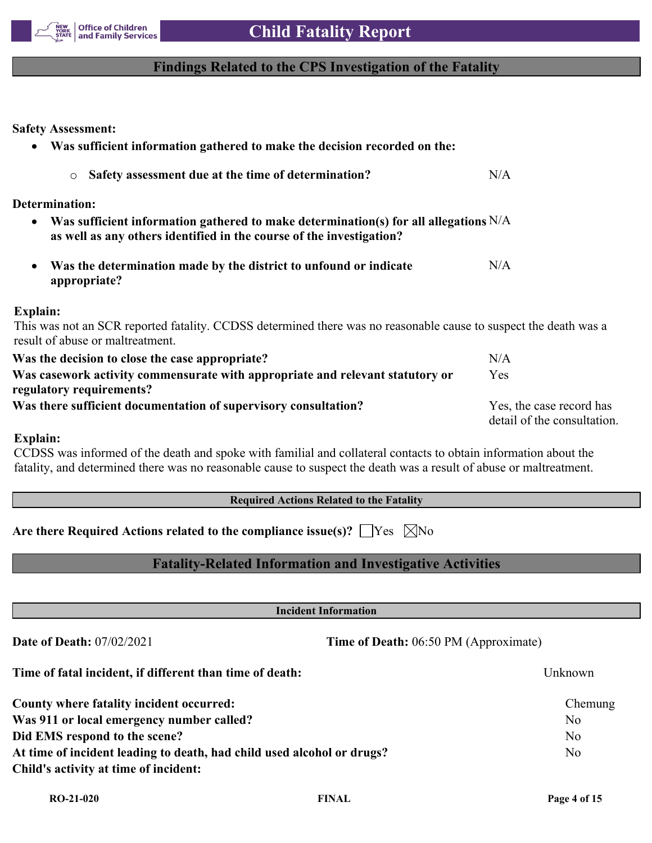

# **Findings Related to the CPS Investigation of the Fatality**

**Safety Assessment:**

| Was sufficient information gathered to make the decision recorded on the:<br>$\bullet$                                                                                      |                                                         |
|-----------------------------------------------------------------------------------------------------------------------------------------------------------------------------|---------------------------------------------------------|
| Safety assessment due at the time of determination?<br>$\circ$                                                                                                              | N/A                                                     |
| <b>Determination:</b>                                                                                                                                                       |                                                         |
| Was sufficient information gathered to make determination(s) for all allegations $N/A$<br>$\bullet$<br>as well as any others identified in the course of the investigation? |                                                         |
| Was the determination made by the district to unfound or indicate<br>$\bullet$<br>appropriate?                                                                              | N/A                                                     |
| <b>Explain:</b>                                                                                                                                                             |                                                         |
| This was not an SCR reported fatality. CCDSS determined there was no reasonable cause to suspect the death was a<br>result of abuse or maltreatment.                        |                                                         |
| Was the decision to close the case appropriate?                                                                                                                             | N/A                                                     |
| Was casework activity commensurate with appropriate and relevant statutory or<br>regulatory requirements?                                                                   | Yes                                                     |
| Was there sufficient documentation of supervisory consultation?                                                                                                             | Yes, the case record has<br>detail of the consultation. |

#### **Explain:**

CCDSS was informed of the death and spoke with familial and collateral contacts to obtain information about the fatality, and determined there was no reasonable cause to suspect the death was a result of abuse or maltreatment.

|  | <b>Required Actions Related to the Fatality</b> |  |  |
|--|-------------------------------------------------|--|--|
|  |                                                 |  |  |

Are there Required Actions related to the compliance issue(s)?  $\Box$  Yes  $\Box$  No

# **Fatality-Related Information and Investigative Activities**

**Incident Information Date of Death:** 07/02/2021 **Time of Death:** 06:50 PM (Approximate) **Time of fatal incident, if different than time of death:** Unknown **County where fatality incident occurred:** Chemung **Was 911 or local emergency number called?** No **Did EMS respond to the scene?** No At time of incident leading to death, had child used alcohol or drugs? No

**Child's activity at time of incident:**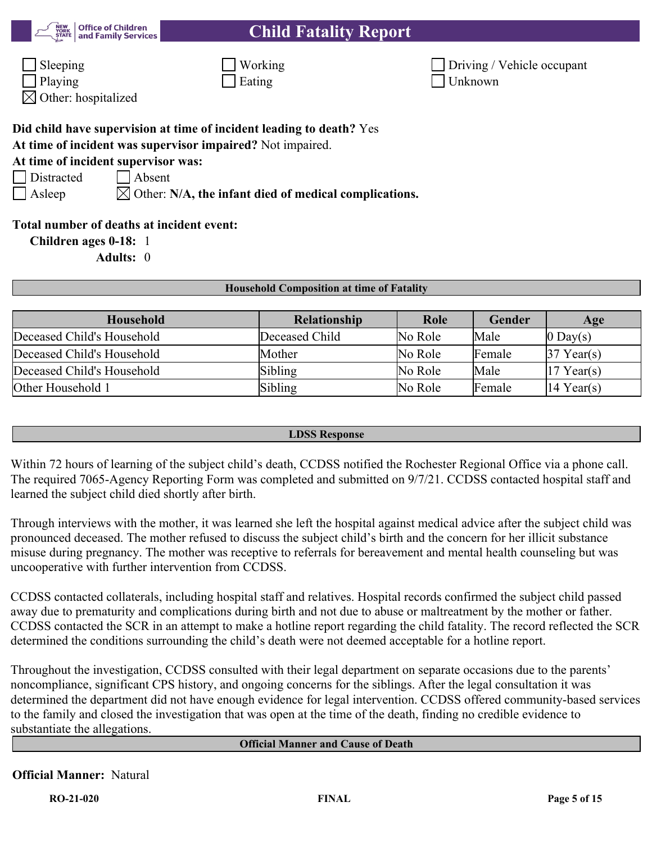| <b>Child Fatality Report</b> |
|------------------------------|
|------------------------------|

|                  | <b>NEW</b> Office of Children<br>STATE and Family Services |
|------------------|------------------------------------------------------------|
| $\vert$ Sleeping |                                                            |

| $\Box$ Sleeping | Working | $\vert$ Driving / |
|-----------------|---------|-------------------|
| $\Box$ Playing  | Eating  | Unknown           |

| $\Box$ Sleeping | Working | Driving / Vehicle occupant |
|-----------------|---------|----------------------------|
| Playing         | Eating  | Unknown                    |

 $\boxtimes$  Other: hospitalized

# **Did child have supervision at time of incident leading to death?** Yes

**At time of incident was supervisor impaired?** Not impaired.

# **At time of incident supervisor was:**

Distracted Absent

Asleep  $\boxtimes$  Other: **N/A, the infant died of medical complications.** 

# **Total number of deaths at incident event:**

**Children ages 0-18:** 1

**Adults:** 0

#### **Household Composition at time of Fatality**

| Household                  | <b>Relationship</b> | Role    | Gender | Age                    |
|----------------------------|---------------------|---------|--------|------------------------|
| Deceased Child's Household | Deceased Child      | No Role | Male   | $ 0 \text{ Day}(s) $   |
| Deceased Child's Household | Mother              | No Role | Female | $37$ Year(s)           |
| Deceased Child's Household | Sibling             | No Role | Male   | $17$ Year(s)           |
| Other Household 1          | Sibling             | No Role | Female | $ 14 \text{ Year}(s) $ |

#### **LDSS Response**

Within 72 hours of learning of the subject child's death, CCDSS notified the Rochester Regional Office via a phone call. The required 7065-Agency Reporting Form was completed and submitted on 9/7/21. CCDSS contacted hospital staff and learned the subject child died shortly after birth.

Through interviews with the mother, it was learned she left the hospital against medical advice after the subject child was pronounced deceased. The mother refused to discuss the subject child's birth and the concern for her illicit substance misuse during pregnancy. The mother was receptive to referrals for bereavement and mental health counseling but was uncooperative with further intervention from CCDSS.

CCDSS contacted collaterals, including hospital staff and relatives. Hospital records confirmed the subject child passed away due to prematurity and complications during birth and not due to abuse or maltreatment by the mother or father. CCDSS contacted the SCR in an attempt to make a hotline report regarding the child fatality. The record reflected the SCR determined the conditions surrounding the child's death were not deemed acceptable for a hotline report.

Throughout the investigation, CCDSS consulted with their legal department on separate occasions due to the parents' noncompliance, significant CPS history, and ongoing concerns for the siblings. After the legal consultation it was determined the department did not have enough evidence for legal intervention. CCDSS offered community-based services to the family and closed the investigation that was open at the time of the death, finding no credible evidence to substantiate the allegations.

## **Official Manner and Cause of Death**

# **Official Manner:** Natural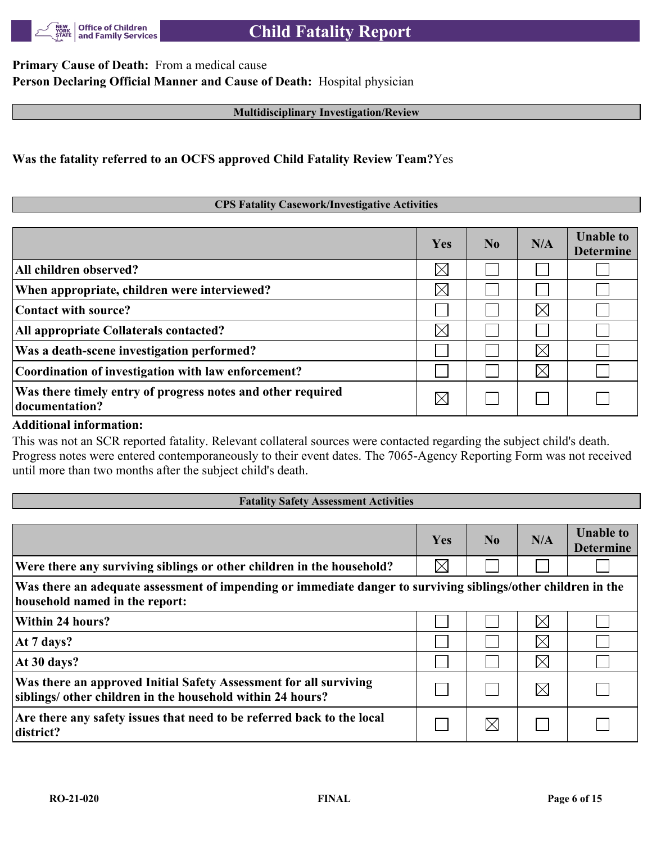

**Primary Cause of Death:** From a medical cause **Person Declaring Official Manner and Cause of Death:** Hospital physician

#### **Multidisciplinary Investigation/Review**

## **Was the fatality referred to an OCFS approved Child Fatality Review Team?**Yes

#### **CPS Fatality Casework/Investigative Activities**

|                                                                               | Yes      | No. | N/A         | <b>Unable to</b><br><b>Determine</b> |
|-------------------------------------------------------------------------------|----------|-----|-------------|--------------------------------------|
| All children observed?                                                        | $\times$ |     |             |                                      |
| When appropriate, children were interviewed?                                  | $\times$ |     |             |                                      |
| Contact with source?                                                          |          |     | $\boxtimes$ |                                      |
| All appropriate Collaterals contacted?                                        | $\times$ |     |             |                                      |
| Was a death-scene investigation performed?                                    |          |     | $\bowtie$   |                                      |
| Coordination of investigation with law enforcement?                           |          |     | $\boxtimes$ |                                      |
| Was there timely entry of progress notes and other required<br>documentation? |          |     |             |                                      |

#### **Additional information:**

This was not an SCR reported fatality. Relevant collateral sources were contacted regarding the subject child's death. Progress notes were entered contemporaneously to their event dates. The 7065-Agency Reporting Form was not received until more than two months after the subject child's death.

#### **Fatality Safety Assessment Activities**

|                                                                                                                                                 | Yes      | N <sub>0</sub> | N/A         | <b>Unable to</b><br><b>Determine</b> |
|-------------------------------------------------------------------------------------------------------------------------------------------------|----------|----------------|-------------|--------------------------------------|
| Were there any surviving siblings or other children in the household?                                                                           | $\times$ |                |             |                                      |
| Was there an adequate assessment of impending or immediate danger to surviving siblings/other children in the<br>household named in the report: |          |                |             |                                      |
| <b>Within 24 hours?</b>                                                                                                                         |          |                | $\times$    |                                      |
| At 7 days?                                                                                                                                      |          |                | $\boxtimes$ |                                      |
| At 30 days?                                                                                                                                     |          |                | $\boxtimes$ |                                      |
| Was there an approved Initial Safety Assessment for all surviving<br>siblings/ other children in the household within 24 hours?                 |          |                | $\boxtimes$ |                                      |
| Are there any safety issues that need to be referred back to the local<br>district?                                                             |          | $\times$       |             |                                      |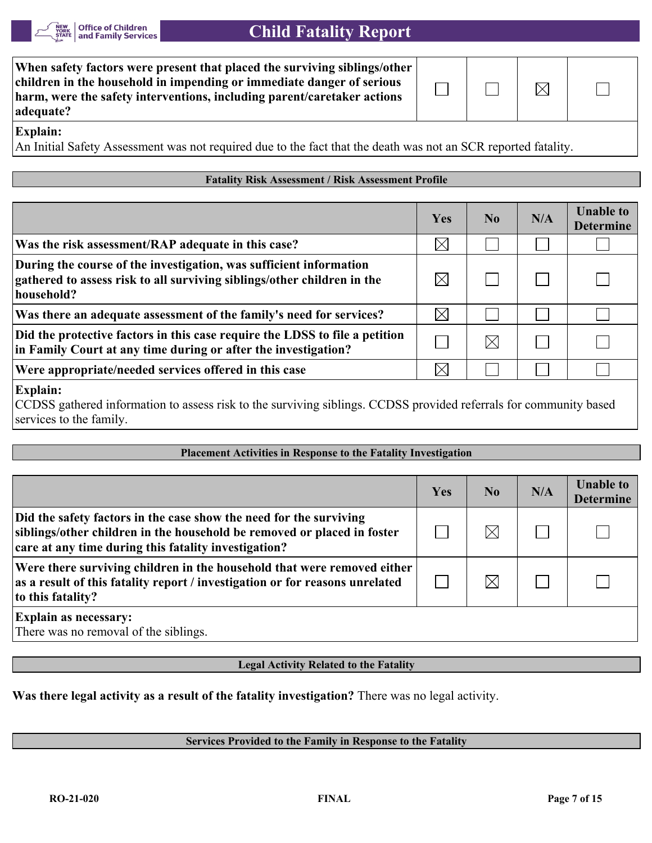

| When safety factors were present that placed the surviving siblings/other<br>children in the household in impending or immediate danger of serious<br>harm, were the safety interventions, including parent/caretaker actions<br>adequate? |  | $\boxtimes$ |  |
|--------------------------------------------------------------------------------------------------------------------------------------------------------------------------------------------------------------------------------------------|--|-------------|--|
| - -                                                                                                                                                                                                                                        |  |             |  |

#### **Explain:**

An Initial Safety Assessment was not required due to the fact that the death was not an SCR reported fatality.

#### **Fatality Risk Assessment / Risk Assessment Profile**

|                                                                                                                                                             | Yes         | No | N/A | <b>Unable to</b><br><b>Determine</b> |
|-------------------------------------------------------------------------------------------------------------------------------------------------------------|-------------|----|-----|--------------------------------------|
| Was the risk assessment/RAP adequate in this case?                                                                                                          | $\boxtimes$ |    |     |                                      |
| During the course of the investigation, was sufficient information<br>gathered to assess risk to all surviving siblings/other children in the<br>household? |             |    |     |                                      |
| Was there an adequate assessment of the family's need for services?                                                                                         |             |    |     |                                      |
| Did the protective factors in this case require the LDSS to file a petition<br>in Family Court at any time during or after the investigation?               |             | IX |     |                                      |
| Were appropriate/needed services offered in this case                                                                                                       |             |    |     |                                      |

#### **Explain:**

CCDSS gathered information to assess risk to the surviving siblings. CCDSS provided referrals for community based services to the family.

#### **Placement Activities in Response to the Fatality Investigation**

|                                                                                                                                                                                                       | Yes | $\bf No$ | N/A | <b>Unable to</b><br><b>Determine</b> |
|-------------------------------------------------------------------------------------------------------------------------------------------------------------------------------------------------------|-----|----------|-----|--------------------------------------|
| Did the safety factors in the case show the need for the surviving<br>siblings/other children in the household be removed or placed in foster<br>care at any time during this fatality investigation? |     | $\times$ |     |                                      |
| Were there surviving children in the household that were removed either<br>as a result of this fatality report / investigation or for reasons unrelated<br>to this fatality?                          |     |          |     |                                      |
| <b>Explain as necessary:</b><br>There was no removal of the siblings.                                                                                                                                 |     |          |     |                                      |

#### **Legal Activity Related to the Fatality**

**Was there legal activity as a result of the fatality investigation?** There was no legal activity.

#### **Services Provided to the Family in Response to the Fatality**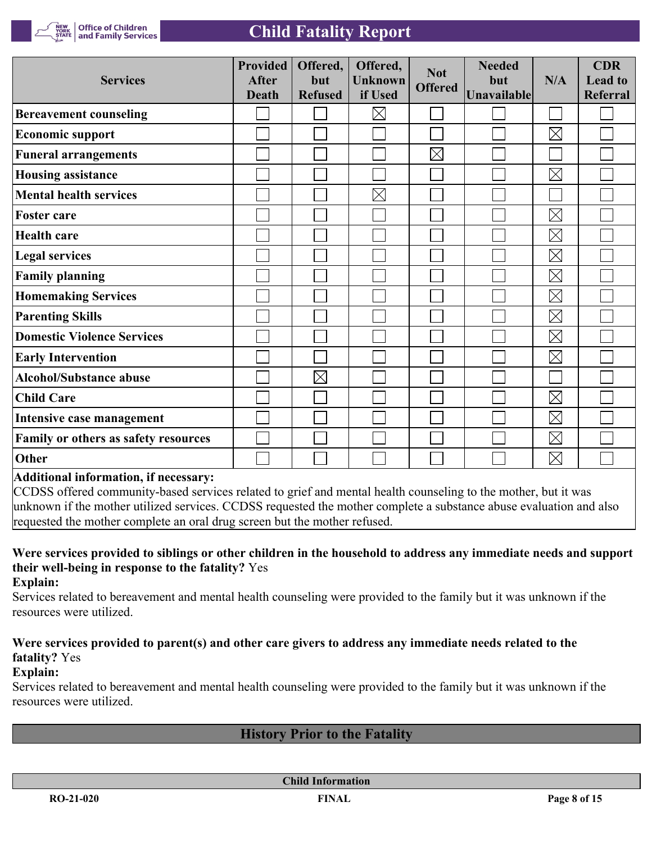

| <b>Services</b>                      | <b>Provided</b><br><b>After</b><br><b>Death</b> | Offered,<br>but<br><b>Refused</b> | Offered,<br><b>Unknown</b><br>if Used | <b>Not</b><br><b>Offered</b> | <b>Needed</b><br>but<br>Unavailable | N/A         | <b>CDR</b><br><b>Lead to</b><br><b>Referral</b> |
|--------------------------------------|-------------------------------------------------|-----------------------------------|---------------------------------------|------------------------------|-------------------------------------|-------------|-------------------------------------------------|
| <b>Bereavement counseling</b>        |                                                 |                                   | $\times$                              |                              |                                     |             |                                                 |
| <b>Economic support</b>              |                                                 |                                   |                                       |                              |                                     | $\boxtimes$ |                                                 |
| <b>Funeral arrangements</b>          |                                                 |                                   |                                       | $\boxtimes$                  |                                     |             |                                                 |
| <b>Housing assistance</b>            |                                                 |                                   |                                       |                              |                                     | $\boxtimes$ |                                                 |
| <b>Mental health services</b>        |                                                 |                                   | $\times$                              |                              |                                     |             |                                                 |
| <b>Foster care</b>                   |                                                 |                                   |                                       |                              |                                     | $\boxtimes$ |                                                 |
| <b>Health care</b>                   |                                                 |                                   |                                       |                              |                                     | $\boxtimes$ |                                                 |
| <b>Legal services</b>                |                                                 |                                   |                                       |                              |                                     | $\boxtimes$ |                                                 |
| <b>Family planning</b>               |                                                 |                                   |                                       |                              |                                     | $\boxtimes$ |                                                 |
| <b>Homemaking Services</b>           |                                                 |                                   |                                       |                              |                                     | $\boxtimes$ |                                                 |
| <b>Parenting Skills</b>              |                                                 |                                   |                                       |                              |                                     | $\boxtimes$ |                                                 |
| <b>Domestic Violence Services</b>    |                                                 |                                   |                                       |                              |                                     | $\boxtimes$ |                                                 |
| <b>Early Intervention</b>            |                                                 |                                   |                                       |                              |                                     | $\boxtimes$ |                                                 |
| <b>Alcohol/Substance abuse</b>       |                                                 | $\boxtimes$                       |                                       |                              |                                     |             |                                                 |
| <b>Child Care</b>                    |                                                 |                                   |                                       |                              |                                     | $\boxtimes$ |                                                 |
| Intensive case management            |                                                 |                                   |                                       |                              |                                     | $\boxtimes$ |                                                 |
| Family or others as safety resources |                                                 |                                   |                                       |                              |                                     | $\boxtimes$ |                                                 |
| Other                                |                                                 |                                   |                                       |                              |                                     | $\boxtimes$ |                                                 |

#### **Additional information, if necessary:**

CCDSS offered community-based services related to grief and mental health counseling to the mother, but it was unknown if the mother utilized services. CCDSS requested the mother complete a substance abuse evaluation and also requested the mother complete an oral drug screen but the mother refused.

# **Were services provided to siblings or other children in the household to address any immediate needs and support their well-being in response to the fatality?** Yes

**Explain:**

Services related to bereavement and mental health counseling were provided to the family but it was unknown if the resources were utilized.

# **Were services provided to parent(s) and other care givers to address any immediate needs related to the fatality?** Yes

#### **Explain:**

Services related to bereavement and mental health counseling were provided to the family but it was unknown if the resources were utilized.

# **History Prior to the Fatality**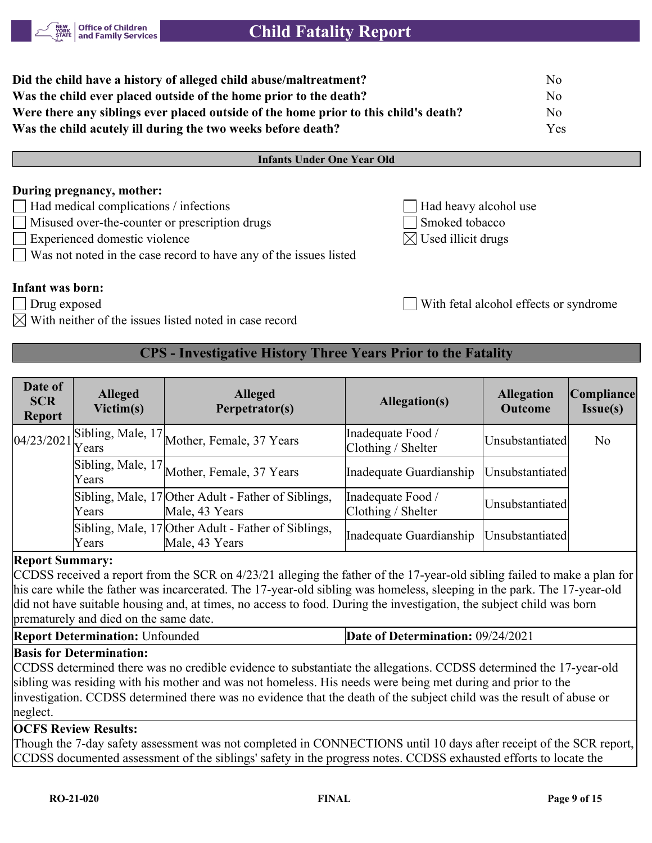

| Did the child have a history of alleged child abuse/maltreatment?                    | No   |
|--------------------------------------------------------------------------------------|------|
| Was the child ever placed outside of the home prior to the death?                    | No   |
| Were there any siblings ever placed outside of the home prior to this child's death? | No   |
| Was the child acutely ill during the two weeks before death?                         | Yes. |

#### **Infants Under One Year Old**

#### **During pregnancy, mother:**

- Had medical complications / infections Had heavy alcohol use
- Misused over-the-counter or prescription drugs Smoked tobacco
- $\Box$  Experienced domestic violence  $\Box$
- Was not noted in the case record to have any of the issues listed

## **Infant was born:**

- Drug exposed With fetal alcohol effects or syndrome
- With neither of the issues listed noted in case record

# **CPS - Investigative History Three Years Prior to the Fatality**

| Date of<br><b>SCR</b><br><b>Report</b> | <b>Alleged</b><br>Victim(s) | <b>Alleged</b><br>Perpetrator(s)                                      | Allegation(s)                             | <b>Allegation</b><br><b>Outcome</b> | Compliance <br><b>Issue(s)</b> |
|----------------------------------------|-----------------------------|-----------------------------------------------------------------------|-------------------------------------------|-------------------------------------|--------------------------------|
| 04/23/2021                             |                             | $\sqrt{15}$ Sibling, Male, 17 Mother, Female, 37 Years                | Inadequate Food /<br>Clothing / Shelter   | Unsubstantiated                     | No                             |
|                                        |                             | Sibling, Male, 17 Mother, Female, 37 Years                            | Inadequate Guardianship                   | Unsubstantiated                     |                                |
|                                        | Years                       | Sibling, Male, 17 Other Adult - Father of Siblings,<br>Male, 43 Years | Inadequate Food /<br>Clothing / Shelter   | Unsubstantiated                     |                                |
|                                        | Years                       | Sibling, Male, 17 Other Adult - Father of Siblings,<br>Male, 43 Years | Inadequate Guardianship   Unsubstantiated |                                     |                                |

#### **Report Summary:**

CCDSS received a report from the SCR on 4/23/21 alleging the father of the 17-year-old sibling failed to make a plan for his care while the father was incarcerated. The 17-year-old sibling was homeless, sleeping in the park. The 17-year-old did not have suitable housing and, at times, no access to food. During the investigation, the subject child was born prematurely and died on the same date.

**Report Determination:** Unfounded **Date of Determination:** 09/24/2021

#### **Basis for Determination:**

CCDSS determined there was no credible evidence to substantiate the allegations. CCDSS determined the 17-year-old sibling was residing with his mother and was not homeless. His needs were being met during and prior to the investigation. CCDSS determined there was no evidence that the death of the subject child was the result of abuse or neglect.

#### **OCFS Review Results:**

Though the 7-day safety assessment was not completed in CONNECTIONS until 10 days after receipt of the SCR report, CCDSS documented assessment of the siblings' safety in the progress notes. CCDSS exhausted efforts to locate the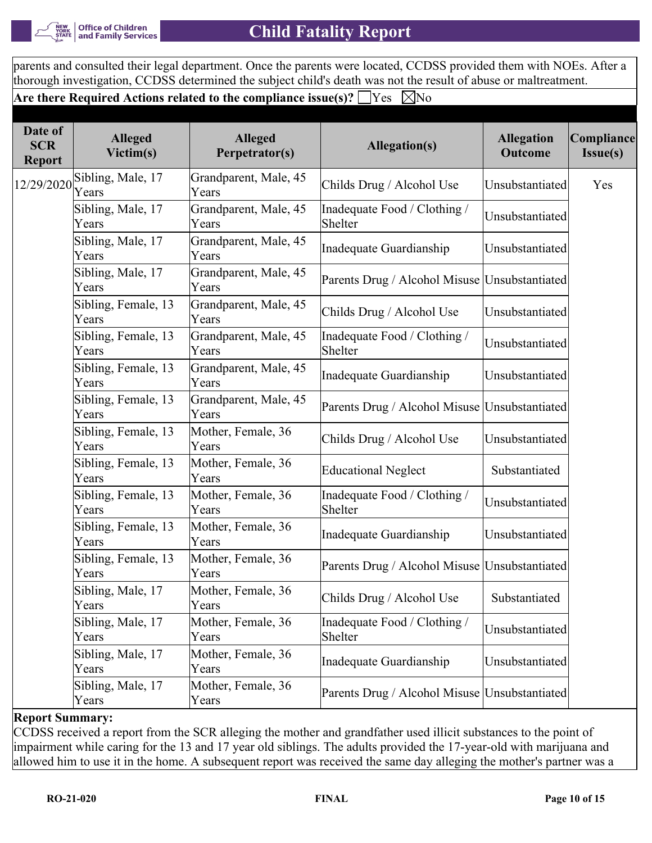

parents and consulted their legal department. Once the parents were located, CCDSS provided them with NOEs. After a thorough investigation, CCDSS determined the subject child's death was not the result of abuse or maltreatment.

**Are there Required Actions related to the compliance issue(s)?**  $\Box$  Yes  $\Box$  No

| Date of<br><b>SCR</b><br><b>Report</b> | <b>Alleged</b><br>Victim(s)  | <b>Alleged</b><br>Perpetrator(s) | <b>Allegation(s)</b>                          | <b>Allegation</b><br>Outcome | Compliance<br>Issue(s) |
|----------------------------------------|------------------------------|----------------------------------|-----------------------------------------------|------------------------------|------------------------|
| 12/29/2020                             | Sibling, Male, 17<br>Years   | Grandparent, Male, 45<br>Years   | Childs Drug / Alcohol Use                     | Unsubstantiated              | Yes                    |
|                                        | Sibling, Male, 17<br>Years   | Grandparent, Male, 45<br>Years   | Inadequate Food / Clothing /<br>Shelter       | Unsubstantiated              |                        |
|                                        | Sibling, Male, 17<br>Years   | Grandparent, Male, 45<br>Years   | Inadequate Guardianship                       | Unsubstantiated              |                        |
|                                        | Sibling, Male, 17<br>Years   | Grandparent, Male, 45<br>Years   | Parents Drug / Alcohol Misuse Unsubstantiated |                              |                        |
|                                        | Sibling, Female, 13<br>Years | Grandparent, Male, 45<br>Years   | Childs Drug / Alcohol Use                     | Unsubstantiated              |                        |
|                                        | Sibling, Female, 13<br>Years | Grandparent, Male, 45<br>Years   | Inadequate Food / Clothing /<br>Shelter       | Unsubstantiated              |                        |
|                                        | Sibling, Female, 13<br>Years | Grandparent, Male, 45<br>Years   | Inadequate Guardianship                       | Unsubstantiated              |                        |
|                                        | Sibling, Female, 13<br>Years | Grandparent, Male, 45<br>Years   | Parents Drug / Alcohol Misuse Unsubstantiated |                              |                        |
|                                        | Sibling, Female, 13<br>Years | Mother, Female, 36<br>Years      | Childs Drug / Alcohol Use                     | Unsubstantiated              |                        |
|                                        | Sibling, Female, 13<br>Years | Mother, Female, 36<br>Years      | Educational Neglect                           | Substantiated                |                        |
|                                        | Sibling, Female, 13<br>Years | Mother, Female, 36<br>Years      | Inadequate Food / Clothing /<br>Shelter       | Unsubstantiated              |                        |
|                                        | Sibling, Female, 13<br>Years | Mother, Female, 36<br>Years      | Inadequate Guardianship                       | Unsubstantiated              |                        |
|                                        | Sibling, Female, 13<br>Years | Mother, Female, 36<br>Years      | Parents Drug / Alcohol Misuse Unsubstantiated |                              |                        |
|                                        | Sibling, Male, 17<br>Years   | Mother, Female, 36<br>Years      | Childs Drug / Alcohol Use                     | Substantiated                |                        |
|                                        | Sibling, Male, 17<br>Years   | Mother, Female, 36<br>Years      | Inadequate Food / Clothing /<br>Shelter       | Unsubstantiated              |                        |
|                                        | Sibling, Male, 17<br>Years   | Mother, Female, 36<br>Years      | Inadequate Guardianship                       | Unsubstantiated              |                        |
|                                        | Sibling, Male, 17<br>Years   | Mother, Female, 36<br>Years      | Parents Drug / Alcohol Misuse Unsubstantiated |                              |                        |

**Report Summary:**

CCDSS received a report from the SCR alleging the mother and grandfather used illicit substances to the point of impairment while caring for the 13 and 17 year old siblings. The adults provided the 17-year-old with marijuana and allowed him to use it in the home. A subsequent report was received the same day alleging the mother's partner was a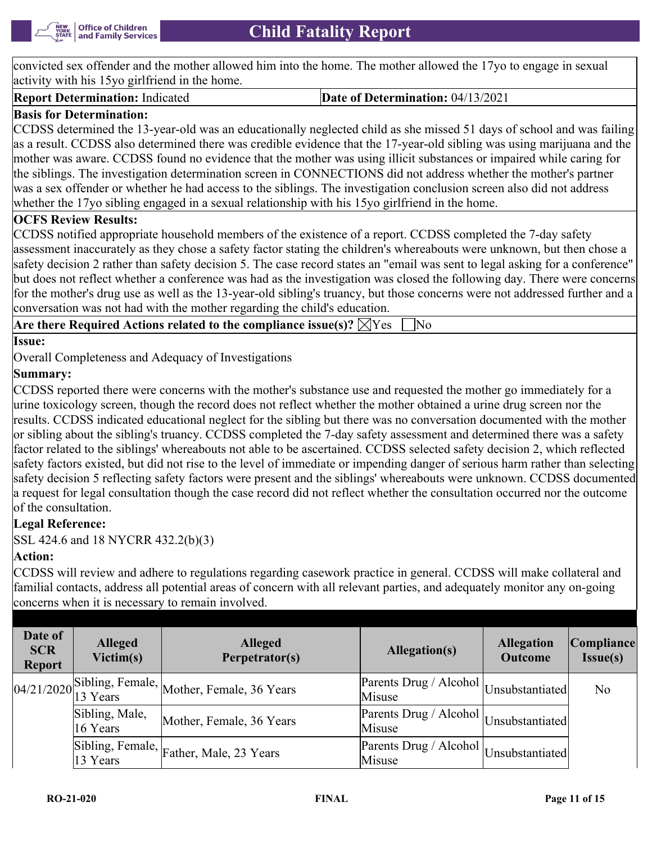

convicted sex offender and the mother allowed him into the home. The mother allowed the 17yo to engage in sexual activity with his 15yo girlfriend in the home.

**Report Determination:** Indicated **Date of Determination:** 04/13/2021

# **Basis for Determination:**

CCDSS determined the 13-year-old was an educationally neglected child as she missed 51 days of school and was failing as a result. CCDSS also determined there was credible evidence that the 17-year-old sibling was using marijuana and the mother was aware. CCDSS found no evidence that the mother was using illicit substances or impaired while caring for the siblings. The investigation determination screen in CONNECTIONS did not address whether the mother's partner was a sex offender or whether he had access to the siblings. The investigation conclusion screen also did not address whether the 17yo sibling engaged in a sexual relationship with his 15yo girlfriend in the home.

# **OCFS Review Results:**

CCDSS notified appropriate household members of the existence of a report. CCDSS completed the 7-day safety assessment inaccurately as they chose a safety factor stating the children's whereabouts were unknown, but then chose a safety decision 2 rather than safety decision 5. The case record states an "email was sent to legal asking for a conference" but does not reflect whether a conference was had as the investigation was closed the following day. There were concerns for the mother's drug use as well as the 13-year-old sibling's truancy, but those concerns were not addressed further and a conversation was not had with the mother regarding the child's education.

**Are there Required Actions related to the compliance issue(s)?**  $\boxtimes$  Yes  $\Box$  No

**Issue:**

Overall Completeness and Adequacy of Investigations

# **Summary:**

CCDSS reported there were concerns with the mother's substance use and requested the mother go immediately for a urine toxicology screen, though the record does not reflect whether the mother obtained a urine drug screen nor the results. CCDSS indicated educational neglect for the sibling but there was no conversation documented with the mother or sibling about the sibling's truancy. CCDSS completed the 7-day safety assessment and determined there was a safety factor related to the siblings' whereabouts not able to be ascertained. CCDSS selected safety decision 2, which reflected safety factors existed, but did not rise to the level of immediate or impending danger of serious harm rather than selecting safety decision 5 reflecting safety factors were present and the siblings' whereabouts were unknown. CCDSS documented a request for legal consultation though the case record did not reflect whether the consultation occurred nor the outcome of the consultation.

# **Legal Reference:**

SSL 424.6 and 18 NYCRR 432.2(b)(3)

# **Action:**

CCDSS will review and adhere to regulations regarding casework practice in general. CCDSS will make collateral and familial contacts, address all potential areas of concern with all relevant parties, and adequately monitor any on-going concerns when it is necessary to remain involved.

| Date of<br><b>SCR</b><br><b>Report</b> | <b>Alleged</b><br>Victim(s)  | <b>Alleged</b><br>Perpetrator(s)                                    | Allegation(s)                                                                               | <b>Allegation</b><br><b>Outcome</b> | <b>Compliance</b><br>Issue(s) |
|----------------------------------------|------------------------------|---------------------------------------------------------------------|---------------------------------------------------------------------------------------------|-------------------------------------|-------------------------------|
|                                        |                              | $\left 04/21/2020\right $ Sibling, Female, Mother, Female, 36 Years | $\sqrt{\frac{\text{Parents Drug}}{\text{Alcohol}}}\big _{\text{Unsubstantiated}}$<br>Misuse |                                     | No                            |
|                                        | Sibling, Male,<br>$16$ Years | Mother, Female, 36 Years                                            | $\sqrt{\text{Parents Drug}} / \text{Alcohol}$ Unsubstantiated<br>Misuse                     |                                     |                               |
|                                        | 13 Years                     | Sibling, Female, Father, Male, 23 Years                             | $\sqrt{$ Parents Drug / Alcohol Unsubstantiated<br>Misuse                                   |                                     |                               |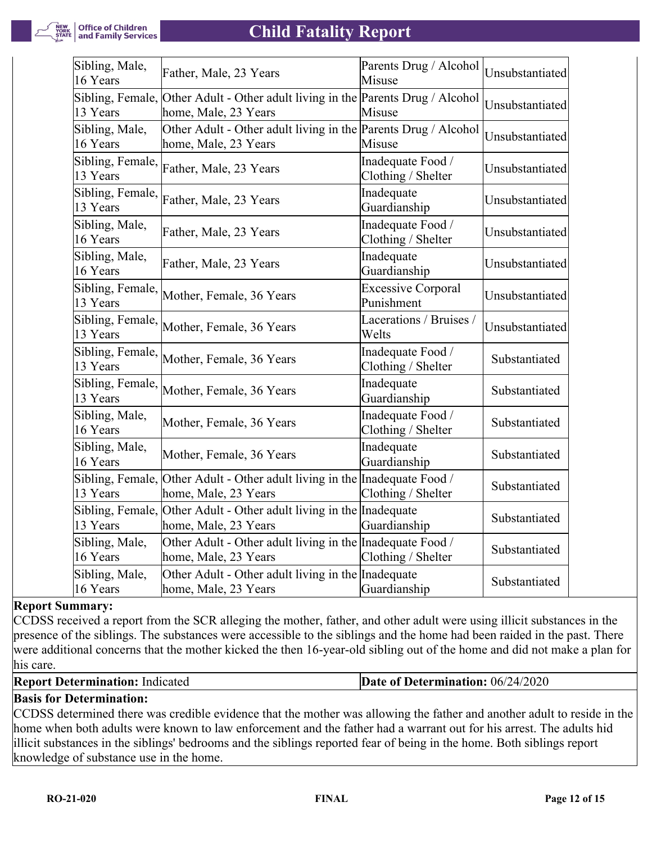

| Sibling, Male,<br>16 Years   | Father, Male, 23 Years                                                                                  | Parents Drug / Alcohol<br>Misuse        | Unsubstantiated |
|------------------------------|---------------------------------------------------------------------------------------------------------|-----------------------------------------|-----------------|
| 13 Years                     | Sibling, Female, Other Adult - Other adult living in the Parents Drug / Alcohol<br>home, Male, 23 Years | Misuse                                  | Unsubstantiated |
| Sibling, Male,<br>16 Years   | Other Adult - Other adult living in the Parents Drug / Alcohol<br>home, Male, 23 Years                  | Misuse                                  | Unsubstantiated |
| Sibling, Female,<br>13 Years | Father, Male, 23 Years                                                                                  | Inadequate Food /<br>Clothing / Shelter | Unsubstantiated |
| Sibling, Female,<br>13 Years | Father, Male, 23 Years                                                                                  | Inadequate<br>Guardianship              | Unsubstantiated |
| Sibling, Male,<br>16 Years   | Father, Male, 23 Years                                                                                  | Inadequate Food /<br>Clothing / Shelter | Unsubstantiated |
| Sibling, Male,<br>16 Years   | Father, Male, 23 Years                                                                                  | Inadequate<br>Guardianship              | Unsubstantiated |
| Sibling, Female,<br>13 Years | Mother, Female, 36 Years                                                                                | <b>Excessive Corporal</b><br>Punishment | Unsubstantiated |
| Sibling, Female,<br>13 Years | Mother, Female, 36 Years                                                                                | Lacerations / Bruises /<br>Welts        | Unsubstantiated |
| Sibling, Female,<br>13 Years | Mother, Female, 36 Years                                                                                | Inadequate Food /<br>Clothing / Shelter | Substantiated   |
| Sibling, Female,<br>13 Years | Mother, Female, 36 Years                                                                                | Inadequate<br>Guardianship              | Substantiated   |
| Sibling, Male,<br>16 Years   | Mother, Female, 36 Years                                                                                | Inadequate Food /<br>Clothing / Shelter | Substantiated   |
| Sibling, Male,<br>16 Years   | Mother, Female, 36 Years                                                                                | Inadequate<br>Guardianship              | Substantiated   |
| 13 Years                     | Sibling, Female, Other Adult - Other adult living in the Inadequate Food /<br>home, Male, 23 Years      | Clothing / Shelter                      | Substantiated   |
| 13 Years                     | Sibling, Female, Other Adult - Other adult living in the Inadequate<br>home, Male, 23 Years             | Guardianship                            | Substantiated   |
| Sibling, Male,<br>16 Years   | Other Adult - Other adult living in the Inadequate Food /<br>home, Male, 23 Years                       | Clothing / Shelter                      | Substantiated   |
| Sibling, Male,<br>16 Years   | Other Adult - Other adult living in the Inadequate<br>home, Male, 23 Years                              | Guardianship                            | Substantiated   |

#### **Report Summary:**

CCDSS received a report from the SCR alleging the mother, father, and other adult were using illicit substances in the presence of the siblings. The substances were accessible to the siblings and the home had been raided in the past. There were additional concerns that the mother kicked the then 16-year-old sibling out of the home and did not make a plan for his care.

| <b>Report Determination: Indicated</b> | Date of Determination: $06/24/2020$ |
|----------------------------------------|-------------------------------------|
|----------------------------------------|-------------------------------------|

# **Basis for Determination:**

CCDSS determined there was credible evidence that the mother was allowing the father and another adult to reside in the home when both adults were known to law enforcement and the father had a warrant out for his arrest. The adults hid illicit substances in the siblings' bedrooms and the siblings reported fear of being in the home. Both siblings report knowledge of substance use in the home.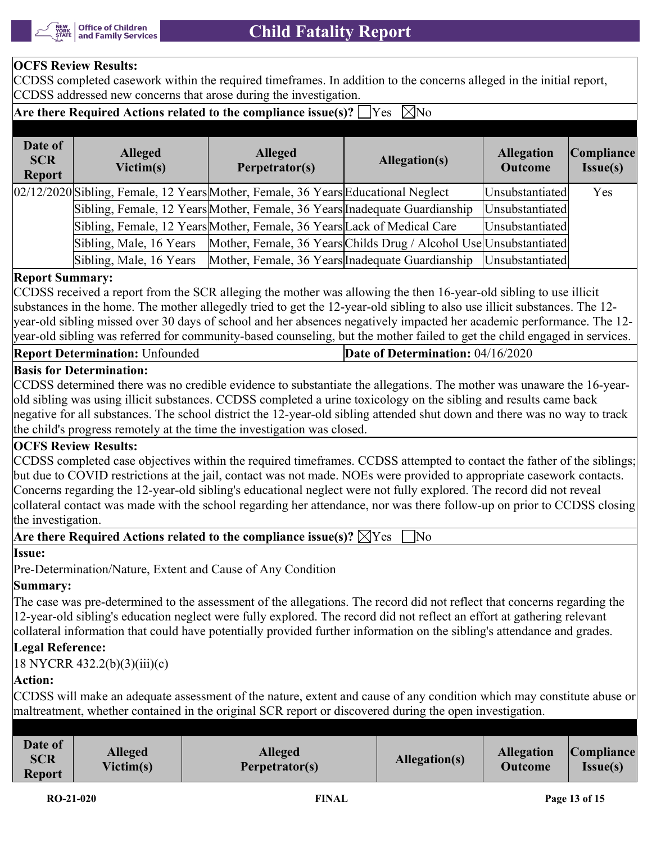

# **OCFS Review Results:**

CCDSS completed casework within the required timeframes. In addition to the concerns alleged in the initial report, CCDSS addressed new concerns that arose during the investigation.

# **Are there Required Actions related to the compliance issue(s)?**  $\Box$  Yes  $\Box$  No

| Date of<br><b>SCR</b><br><b>Report</b> | <b>Alleged</b><br>Victim(s) | <b>Alleged</b><br>Perpetrator(s)                                                  | Allegation(s)                                                      | <b>Allegation</b><br><b>Outcome</b> | Compliance<br>Issue(s) |
|----------------------------------------|-----------------------------|-----------------------------------------------------------------------------------|--------------------------------------------------------------------|-------------------------------------|------------------------|
|                                        |                             | 02/12/2020 Sibling, Female, 12 Years Mother, Female, 36 Years Educational Neglect |                                                                    | Unsubstantiated                     | Yes                    |
|                                        |                             | Sibling, Female, 12 Years Mother, Female, 36 Years Inadequate Guardianship        |                                                                    | Unsubstantiated                     |                        |
|                                        |                             | Sibling, Female, 12 Years Mother, Female, 36 Years Lack of Medical Care           |                                                                    | Unsubstantiated                     |                        |
|                                        | Sibling, Male, 16 Years     |                                                                                   | Mother, Female, 36 Years Childs Drug / Alcohol Use Unsubstantiated |                                     |                        |
|                                        | Sibling, Male, 16 Years     | Mother, Female, 36 Years Inadequate Guardianship                                  |                                                                    | Unsubstantiated                     |                        |

#### **Report Summary:**

CCDSS received a report from the SCR alleging the mother was allowing the then 16-year-old sibling to use illicit substances in the home. The mother allegedly tried to get the 12-year-old sibling to also use illicit substances. The 12 year-old sibling missed over 30 days of school and her absences negatively impacted her academic performance. The 12 year-old sibling was referred for community-based counseling, but the mother failed to get the child engaged in services.

| <b>Report Determination: Unfounded</b> | <b>Date of Determination:</b> $04/16/2020$ |
|----------------------------------------|--------------------------------------------|
|----------------------------------------|--------------------------------------------|

#### **Basis for Determination:**

CCDSS determined there was no credible evidence to substantiate the allegations. The mother was unaware the 16-yearold sibling was using illicit substances. CCDSS completed a urine toxicology on the sibling and results came back negative for all substances. The school district the 12-year-old sibling attended shut down and there was no way to track the child's progress remotely at the time the investigation was closed.

#### **OCFS Review Results:**

CCDSS completed case objectives within the required timeframes. CCDSS attempted to contact the father of the siblings; but due to COVID restrictions at the jail, contact was not made. NOEs were provided to appropriate casework contacts. Concerns regarding the 12-year-old sibling's educational neglect were not fully explored. The record did not reveal collateral contact was made with the school regarding her attendance, nor was there follow-up on prior to CCDSS closing the investigation.

# Are there Required Actions related to the compliance issue(s)?  $\boxtimes$ Yes  $\Box$ No

#### **Issue:**

Pre-Determination/Nature, Extent and Cause of Any Condition

# **Summary:**

The case was pre-determined to the assessment of the allegations. The record did not reflect that concerns regarding the 12-year-old sibling's education neglect were fully explored. The record did not reflect an effort at gathering relevant collateral information that could have potentially provided further information on the sibling's attendance and grades.

# **Legal Reference:**

18 NYCRR 432.2(b)(3)(iii)(c)

# **Action:**

CCDSS will make an adequate assessment of the nature, extent and cause of any condition which may constitute abuse or maltreatment, whether contained in the original SCR report or discovered during the open investigation.

| Date of<br><b>SCR</b><br><b>Report</b> | <b>Alleged</b><br>Victim(s) | <b>Alleged</b><br>Perpetrator(s) | <b>Allegation(s)</b> | <b>Allegation</b><br><b>Outcome</b> | <i>Compliance</i><br><b>Issue(s)</b> |
|----------------------------------------|-----------------------------|----------------------------------|----------------------|-------------------------------------|--------------------------------------|
|                                        |                             |                                  |                      |                                     |                                      |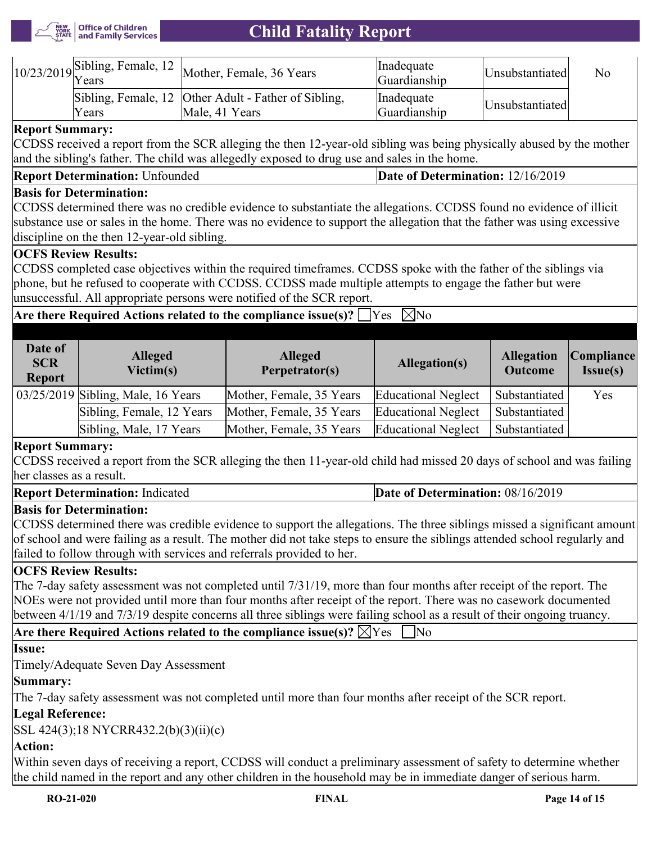

|        | $\gamma$ $\gamma$ /23/2019 Sibling, Female, 12 Mother, Female, 36 Years | <i>l</i> lnadequate<br>Guardianship | Unsubstantiated | No |
|--------|-------------------------------------------------------------------------|-------------------------------------|-----------------|----|
| 'Years | Sibling, Female, 12 Other Adult - Father of Sibling,<br>Male, 41 Years  | Inadequate<br>Guardianship          | Unsubstantiated |    |

## **Report Summary:**

CCDSS received a report from the SCR alleging the then 12-year-old sibling was being physically abused by the mother and the sibling's father. The child was allegedly exposed to drug use and sales in the home.

## **Basis for Determination:**

CCDSS determined there was no credible evidence to substantiate the allegations. CCDSS found no evidence of illicit substance use or sales in the home. There was no evidence to support the allegation that the father was using excessive discipline on the then 12-year-old sibling.

## **OCFS Review Results:**

CCDSS completed case objectives within the required timeframes. CCDSS spoke with the father of the siblings via phone, but he refused to cooperate with CCDSS. CCDSS made multiple attempts to engage the father but were unsuccessful. All appropriate persons were notified of the SCR report.

# **Are there Required Actions related to the compliance issue(s)?**  $\Box$  Yes  $\Box$  No

| Date of<br><b>SCR</b><br><b>Report</b> | <b>Alleged</b><br>Victim(s)        | <b>Alleged</b><br>Perpetrator(s) | Allegation(s)              | <b>Allegation</b><br><b>Outcome</b> | <i>Compliance</i><br>Issue(s) |
|----------------------------------------|------------------------------------|----------------------------------|----------------------------|-------------------------------------|-------------------------------|
|                                        | 03/25/2019 Sibling, Male, 16 Years | Mother, Female, 35 Years         | <b>Educational Neglect</b> | Substantiated                       | Yes                           |
|                                        | Sibling, Female, 12 Years          | Mother, Female, 35 Years         | <b>Educational Neglect</b> | Substantiated                       |                               |
|                                        | Sibling, Male, 17 Years            | Mother, Female, 35 Years         | <b>Educational Neglect</b> | Substantiated                       |                               |

#### **Report Summary:**

CCDSS received a report from the SCR alleging the then 11-year-old child had missed 20 days of school and was failing her classes as a result.

#### **Report Determination:** Indicated **Date of Determination:** 08/16/2019

# **Basis for Determination:**

CCDSS determined there was credible evidence to support the allegations. The three siblings missed a significant amount of school and were failing as a result. The mother did not take steps to ensure the siblings attended school regularly and failed to follow through with services and referrals provided to her.

## **OCFS Review Results:**

The 7-day safety assessment was not completed until 7/31/19, more than four months after receipt of the report. The NOEs were not provided until more than four months after receipt of the report. There was no casework documented between 4/1/19 and 7/3/19 despite concerns all three siblings were failing school as a result of their ongoing truancy.

Are there Required Actions related to the compliance issue(s)?  $\boxtimes$  Yes  $\Box$  No

# **Issue:**

Timely/Adequate Seven Day Assessment

# **Summary:**

The 7-day safety assessment was not completed until more than four months after receipt of the SCR report.

# **Legal Reference:**

SSL 424(3);18 NYCRR432.2(b)(3)(ii)(c)

# **Action:**

Within seven days of receiving a report, CCDSS will conduct a preliminary assessment of safety to determine whether the child named in the report and any other children in the household may be in immediate danger of serious harm.